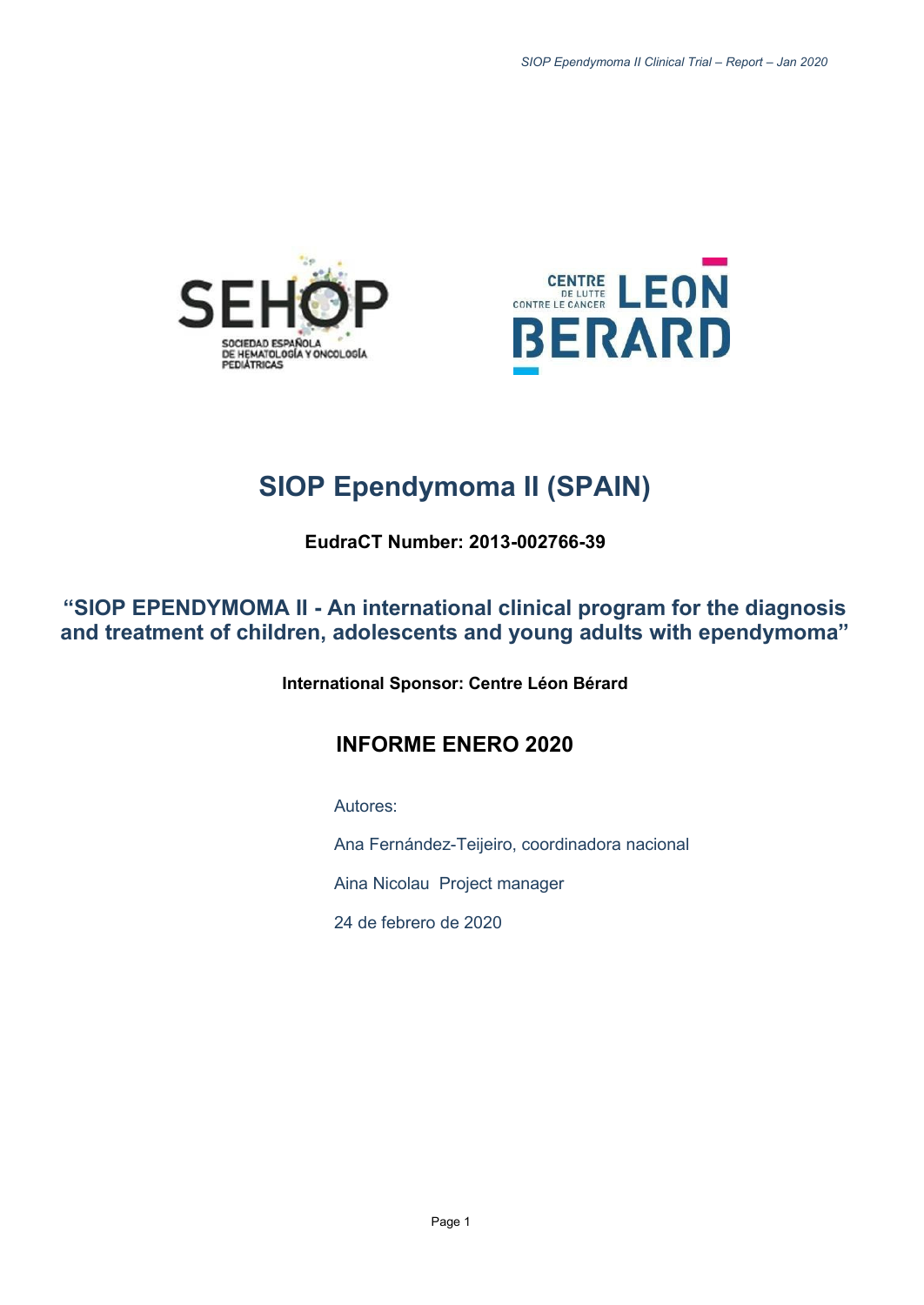



# **SIOP Ependymoma II (SPAIN)**

**EudraCT Number: 2013-002766-39**

**"SIOP EPENDYMOMA II - An international clinical program for the diagnosis and treatment of children, adolescents and young adults with ependymoma"**

**International Sponsor: Centre Léon Bérard**

## **INFORME ENERO 2020**

Autores:

Ana Fernández-Teijeiro, coordinadora nacional

Aina Nicolau Project manager

24 de febrero de 2020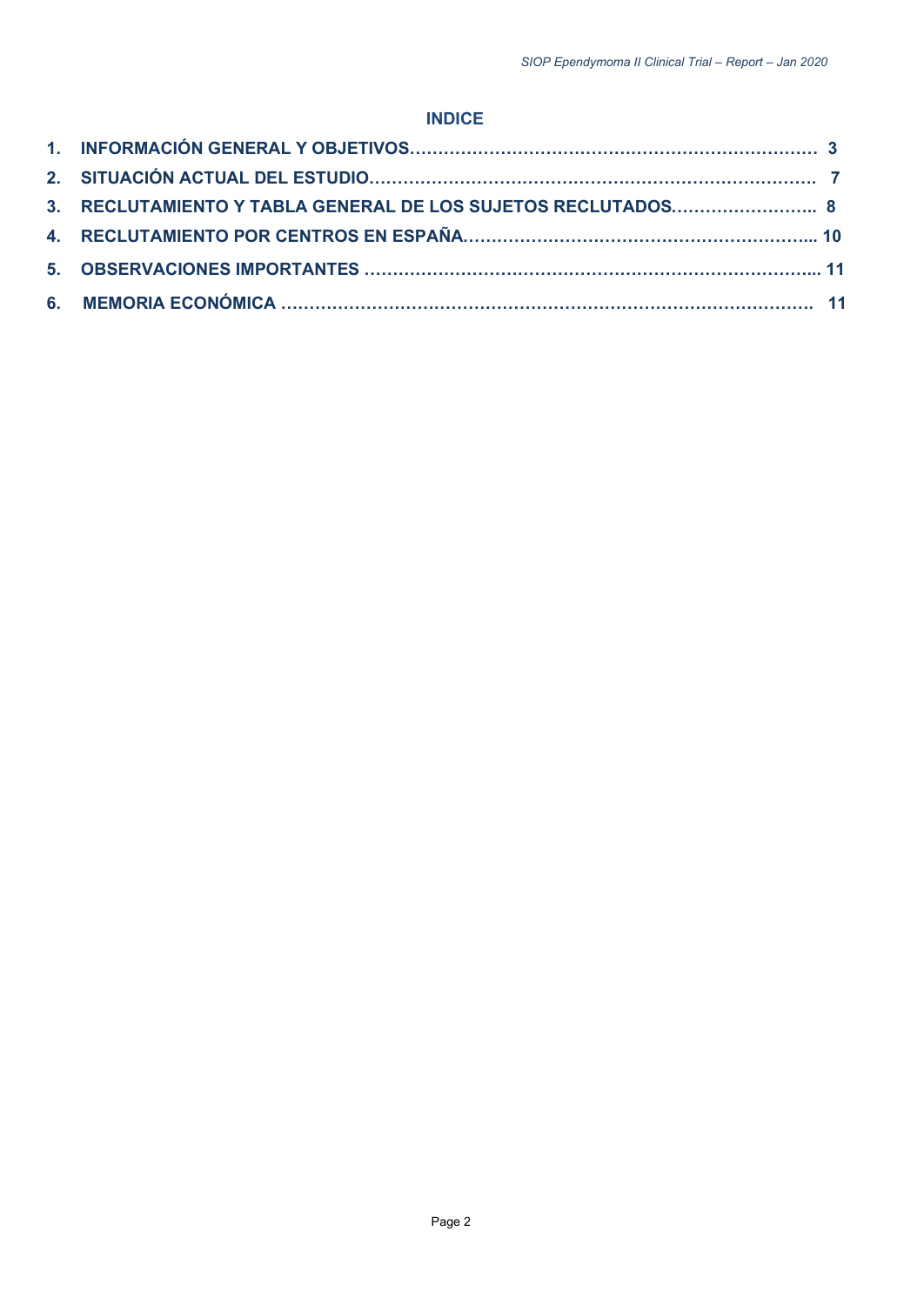## **INDICE**

| 3. RECLUTAMIENTO Y TABLA GENERAL DE LOS SUJETOS RECLUTADOS 8 |  |
|--------------------------------------------------------------|--|
|                                                              |  |
|                                                              |  |
|                                                              |  |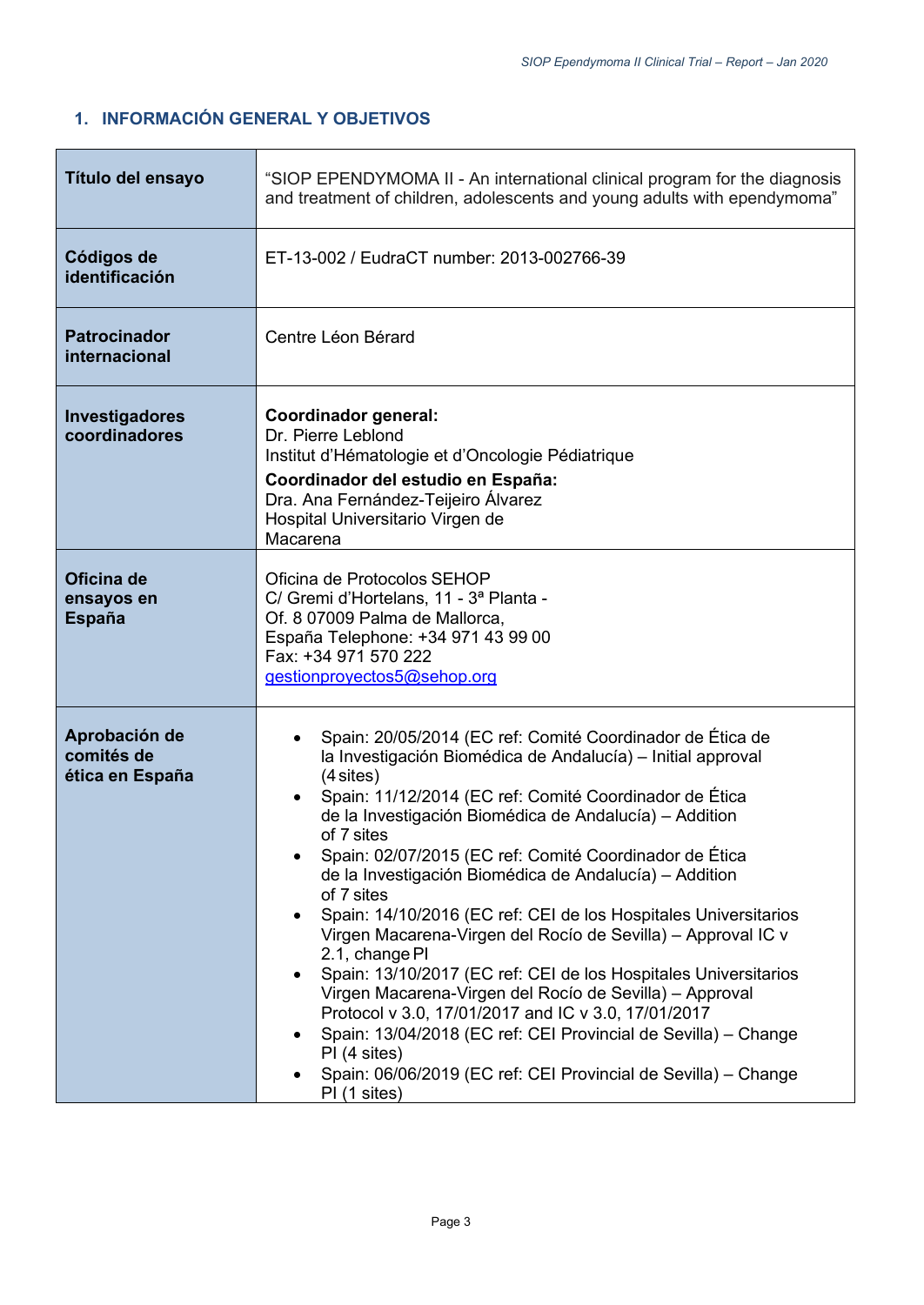## <span id="page-2-0"></span>**1. INFORMACIÓN GENERAL Y OBJETIVOS**

| Título del ensayo                              | "SIOP EPENDYMOMA II - An international clinical program for the diagnosis<br>and treatment of children, adolescents and young adults with ependymoma"                                                                                                                                                                                                                                                                                                                                                                                                                                                                                                                                                                                                                                                                                                                                                                                                            |  |  |  |  |  |
|------------------------------------------------|------------------------------------------------------------------------------------------------------------------------------------------------------------------------------------------------------------------------------------------------------------------------------------------------------------------------------------------------------------------------------------------------------------------------------------------------------------------------------------------------------------------------------------------------------------------------------------------------------------------------------------------------------------------------------------------------------------------------------------------------------------------------------------------------------------------------------------------------------------------------------------------------------------------------------------------------------------------|--|--|--|--|--|
| Códigos de<br>identificación                   | ET-13-002 / EudraCT number: 2013-002766-39                                                                                                                                                                                                                                                                                                                                                                                                                                                                                                                                                                                                                                                                                                                                                                                                                                                                                                                       |  |  |  |  |  |
| <b>Patrocinador</b><br>internacional           | Centre Léon Bérard                                                                                                                                                                                                                                                                                                                                                                                                                                                                                                                                                                                                                                                                                                                                                                                                                                                                                                                                               |  |  |  |  |  |
| Investigadores<br>coordinadores                | <b>Coordinador general:</b><br>Dr. Pierre Leblond<br>Institut d'Hématologie et d'Oncologie Pédiatrique<br>Coordinador del estudio en España:<br>Dra. Ana Fernández-Teijeiro Álvarez<br>Hospital Universitario Virgen de<br>Macarena                                                                                                                                                                                                                                                                                                                                                                                                                                                                                                                                                                                                                                                                                                                              |  |  |  |  |  |
| Oficina de<br>ensayos en<br><b>España</b>      | Oficina de Protocolos SEHOP<br>C/ Gremi d'Hortelans, 11 - 3ª Planta -<br>Of. 8 07009 Palma de Mallorca,<br>España Telephone: +34 971 43 99 00<br>Fax: +34 971 570 222<br>gestionproyectos5@sehop.org                                                                                                                                                                                                                                                                                                                                                                                                                                                                                                                                                                                                                                                                                                                                                             |  |  |  |  |  |
| Aprobación de<br>comités de<br>ética en España | Spain: 20/05/2014 (EC ref: Comité Coordinador de Ética de<br>la Investigación Biomédica de Andalucía) - Initial approval<br>$(4$ sites)<br>Spain: 11/12/2014 (EC ref: Comité Coordinador de Ética<br>$\bullet$<br>de la Investigación Biomédica de Andalucía) - Addition<br>of 7 sites<br>Spain: 02/07/2015 (EC ref: Comité Coordinador de Ética<br>de la Investigación Biomédica de Andalucía) – Addition<br>of 7 sites<br>Spain: 14/10/2016 (EC ref: CEI de los Hospitales Universitarios<br>$\bullet$<br>Virgen Macarena-Virgen del Rocío de Sevilla) – Approval IC v<br>2.1, change PI<br>Spain: 13/10/2017 (EC ref: CEI de los Hospitales Universitarios<br>$\bullet$<br>Virgen Macarena-Virgen del Rocío de Sevilla) – Approval<br>Protocol v 3.0, 17/01/2017 and IC v 3.0, 17/01/2017<br>Spain: 13/04/2018 (EC ref: CEI Provincial de Sevilla) - Change<br>PI (4 sites)<br>Spain: 06/06/2019 (EC ref: CEI Provincial de Sevilla) - Change<br>PI (1 sites) |  |  |  |  |  |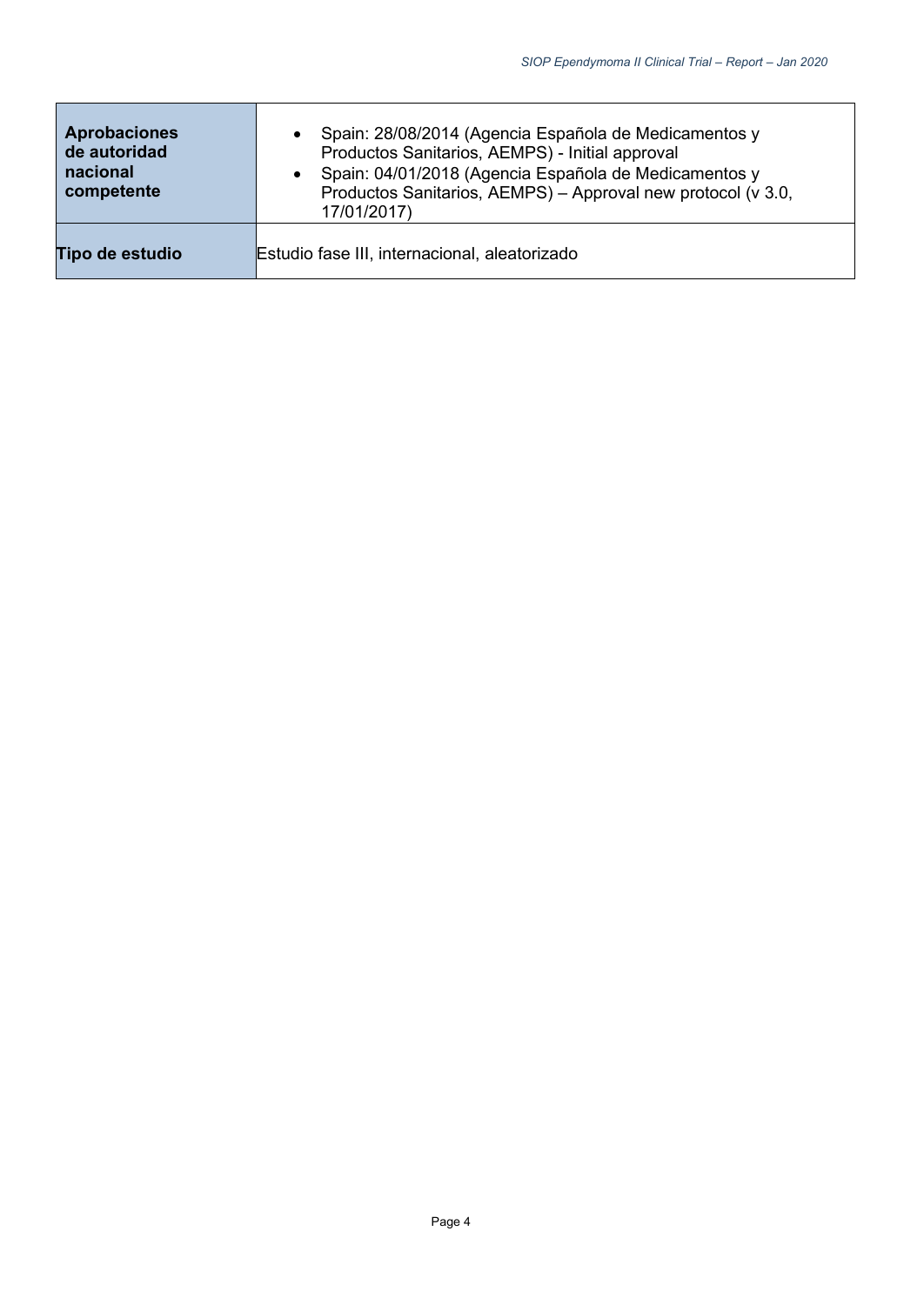| <b>Aprobaciones</b><br>de autoridad<br>nacional<br>competente | Spain: 28/08/2014 (Agencia Española de Medicamentos y<br>$\bullet$<br>Productos Sanitarios, AEMPS) - Initial approval<br>Spain: 04/01/2018 (Agencia Española de Medicamentos y<br>$\bullet$<br>Productos Sanitarios, AEMPS) - Approval new protocol (v 3.0,<br>17/01/2017) |
|---------------------------------------------------------------|----------------------------------------------------------------------------------------------------------------------------------------------------------------------------------------------------------------------------------------------------------------------------|
| Tipo de estudio                                               | Estudio fase III, internacional, aleatorizado                                                                                                                                                                                                                              |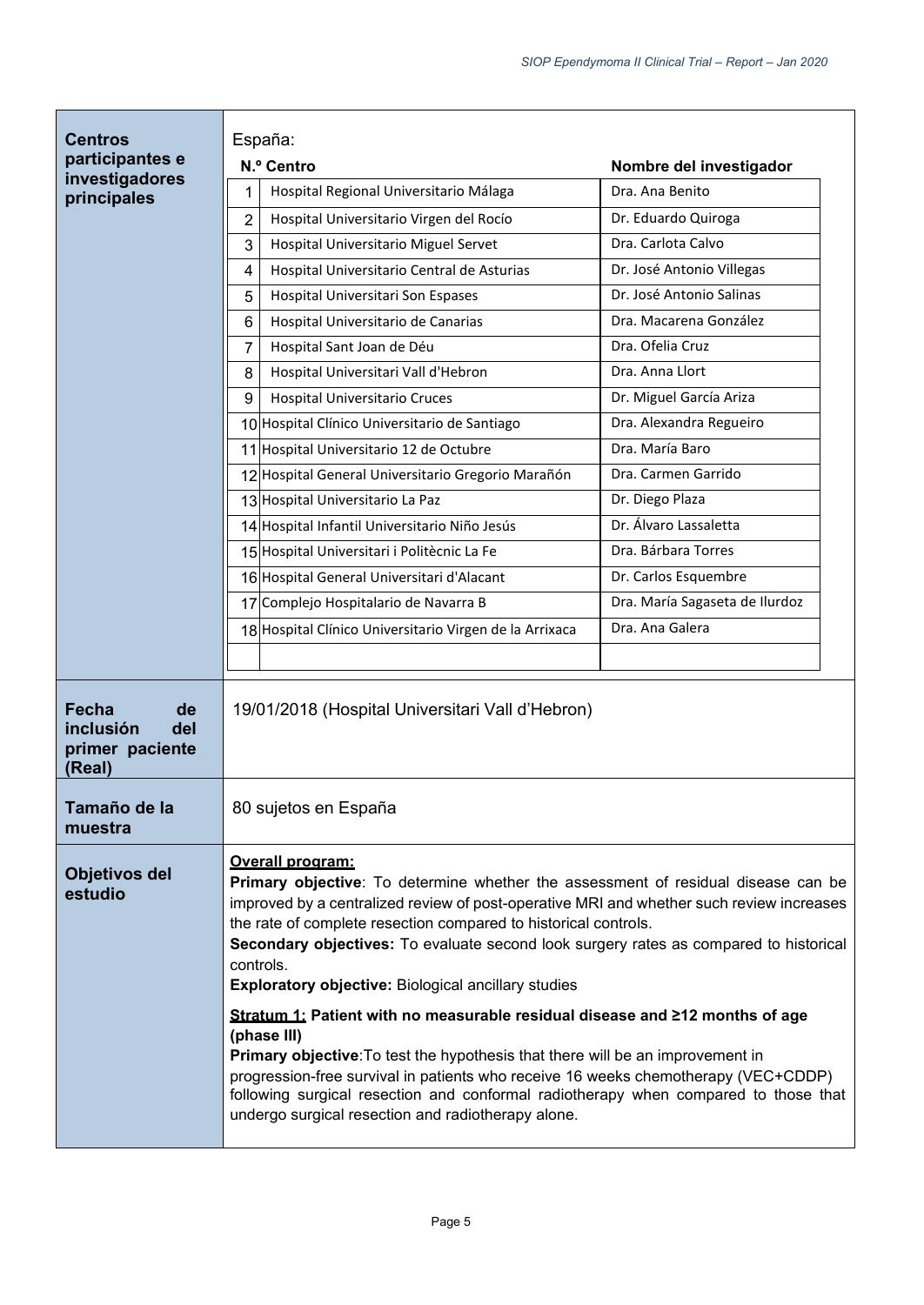| <b>Centros</b><br>participantes e<br>investigadores<br>principales  | España:<br>N.º Centro<br>Hospital Regional Universitario Málaga<br>1                                                                                                                                                                                                                                                                                                                                                                                                                                                                                                                                                                                                                                                                                                                                                                                               | Nombre del investigador<br>Dra. Ana Benito             |  |  |  |
|---------------------------------------------------------------------|--------------------------------------------------------------------------------------------------------------------------------------------------------------------------------------------------------------------------------------------------------------------------------------------------------------------------------------------------------------------------------------------------------------------------------------------------------------------------------------------------------------------------------------------------------------------------------------------------------------------------------------------------------------------------------------------------------------------------------------------------------------------------------------------------------------------------------------------------------------------|--------------------------------------------------------|--|--|--|
|                                                                     | Hospital Universitario Virgen del Rocío<br>2                                                                                                                                                                                                                                                                                                                                                                                                                                                                                                                                                                                                                                                                                                                                                                                                                       | Dr. Eduardo Quiroga                                    |  |  |  |
|                                                                     | 3<br>Hospital Universitario Miguel Servet                                                                                                                                                                                                                                                                                                                                                                                                                                                                                                                                                                                                                                                                                                                                                                                                                          | Dra. Carlota Calvo                                     |  |  |  |
|                                                                     | Hospital Universitario Central de Asturias<br>4                                                                                                                                                                                                                                                                                                                                                                                                                                                                                                                                                                                                                                                                                                                                                                                                                    | Dr. José Antonio Villegas                              |  |  |  |
|                                                                     | 5<br>Hospital Universitari Son Espases                                                                                                                                                                                                                                                                                                                                                                                                                                                                                                                                                                                                                                                                                                                                                                                                                             | Dr. José Antonio Salinas                               |  |  |  |
|                                                                     | Hospital Universitario de Canarias<br>6                                                                                                                                                                                                                                                                                                                                                                                                                                                                                                                                                                                                                                                                                                                                                                                                                            | Dra. Macarena González                                 |  |  |  |
|                                                                     | Hospital Sant Joan de Déu<br>7                                                                                                                                                                                                                                                                                                                                                                                                                                                                                                                                                                                                                                                                                                                                                                                                                                     | Dra. Ofelia Cruz                                       |  |  |  |
|                                                                     | Hospital Universitari Vall d'Hebron<br>8                                                                                                                                                                                                                                                                                                                                                                                                                                                                                                                                                                                                                                                                                                                                                                                                                           | Dra. Anna Llort                                        |  |  |  |
|                                                                     | <b>Hospital Universitario Cruces</b><br>9                                                                                                                                                                                                                                                                                                                                                                                                                                                                                                                                                                                                                                                                                                                                                                                                                          | Dr. Miguel García Ariza                                |  |  |  |
|                                                                     | 10 Hospital Clínico Universitario de Santiago                                                                                                                                                                                                                                                                                                                                                                                                                                                                                                                                                                                                                                                                                                                                                                                                                      | Dra. Alexandra Regueiro                                |  |  |  |
|                                                                     | 11 Hospital Universitario 12 de Octubre                                                                                                                                                                                                                                                                                                                                                                                                                                                                                                                                                                                                                                                                                                                                                                                                                            | Dra. María Baro                                        |  |  |  |
|                                                                     | 12 Hospital General Universitario Gregorio Marañón                                                                                                                                                                                                                                                                                                                                                                                                                                                                                                                                                                                                                                                                                                                                                                                                                 | Dra. Carmen Garrido                                    |  |  |  |
|                                                                     | 13 Hospital Universitario La Paz                                                                                                                                                                                                                                                                                                                                                                                                                                                                                                                                                                                                                                                                                                                                                                                                                                   | Dr. Diego Plaza                                        |  |  |  |
|                                                                     | 14 Hospital Infantil Universitario Niño Jesús                                                                                                                                                                                                                                                                                                                                                                                                                                                                                                                                                                                                                                                                                                                                                                                                                      | Dr. Álvaro Lassaletta                                  |  |  |  |
|                                                                     | 15 Hospital Universitari i Politècnic La Fe                                                                                                                                                                                                                                                                                                                                                                                                                                                                                                                                                                                                                                                                                                                                                                                                                        | Dra. Bárbara Torres                                    |  |  |  |
|                                                                     | 16 Hospital General Universitari d'Alacant                                                                                                                                                                                                                                                                                                                                                                                                                                                                                                                                                                                                                                                                                                                                                                                                                         | Dr. Carlos Esquembre<br>Dra. María Sagaseta de Ilurdoz |  |  |  |
|                                                                     | 17 Complejo Hospitalario de Navarra B                                                                                                                                                                                                                                                                                                                                                                                                                                                                                                                                                                                                                                                                                                                                                                                                                              |                                                        |  |  |  |
|                                                                     | 18 Hospital Clínico Universitario Virgen de la Arrixaca                                                                                                                                                                                                                                                                                                                                                                                                                                                                                                                                                                                                                                                                                                                                                                                                            | Dra. Ana Galera                                        |  |  |  |
|                                                                     |                                                                                                                                                                                                                                                                                                                                                                                                                                                                                                                                                                                                                                                                                                                                                                                                                                                                    |                                                        |  |  |  |
| <b>Fecha</b><br>de<br>inclusión<br>del<br>primer paciente<br>(Real) | 19/01/2018 (Hospital Universitari Vall d'Hebron)                                                                                                                                                                                                                                                                                                                                                                                                                                                                                                                                                                                                                                                                                                                                                                                                                   |                                                        |  |  |  |
| Tamaño de la<br>muestra                                             | 80 sujetos en España                                                                                                                                                                                                                                                                                                                                                                                                                                                                                                                                                                                                                                                                                                                                                                                                                                               |                                                        |  |  |  |
| <b>Objetivos del</b><br>estudio                                     | Overall program:<br>Primary objective: To determine whether the assessment of residual disease can be<br>improved by a centralized review of post-operative MRI and whether such review increases<br>the rate of complete resection compared to historical controls.<br>Secondary objectives: To evaluate second look surgery rates as compared to historical<br>controls.<br><b>Exploratory objective: Biological ancillary studies</b><br>Stratum 1: Patient with no measurable residual disease and $\geq$ 12 months of age<br>(phase III)<br>Primary objective: To test the hypothesis that there will be an improvement in<br>progression-free survival in patients who receive 16 weeks chemotherapy (VEC+CDDP)<br>following surgical resection and conformal radiotherapy when compared to those that<br>undergo surgical resection and radiotherapy alone. |                                                        |  |  |  |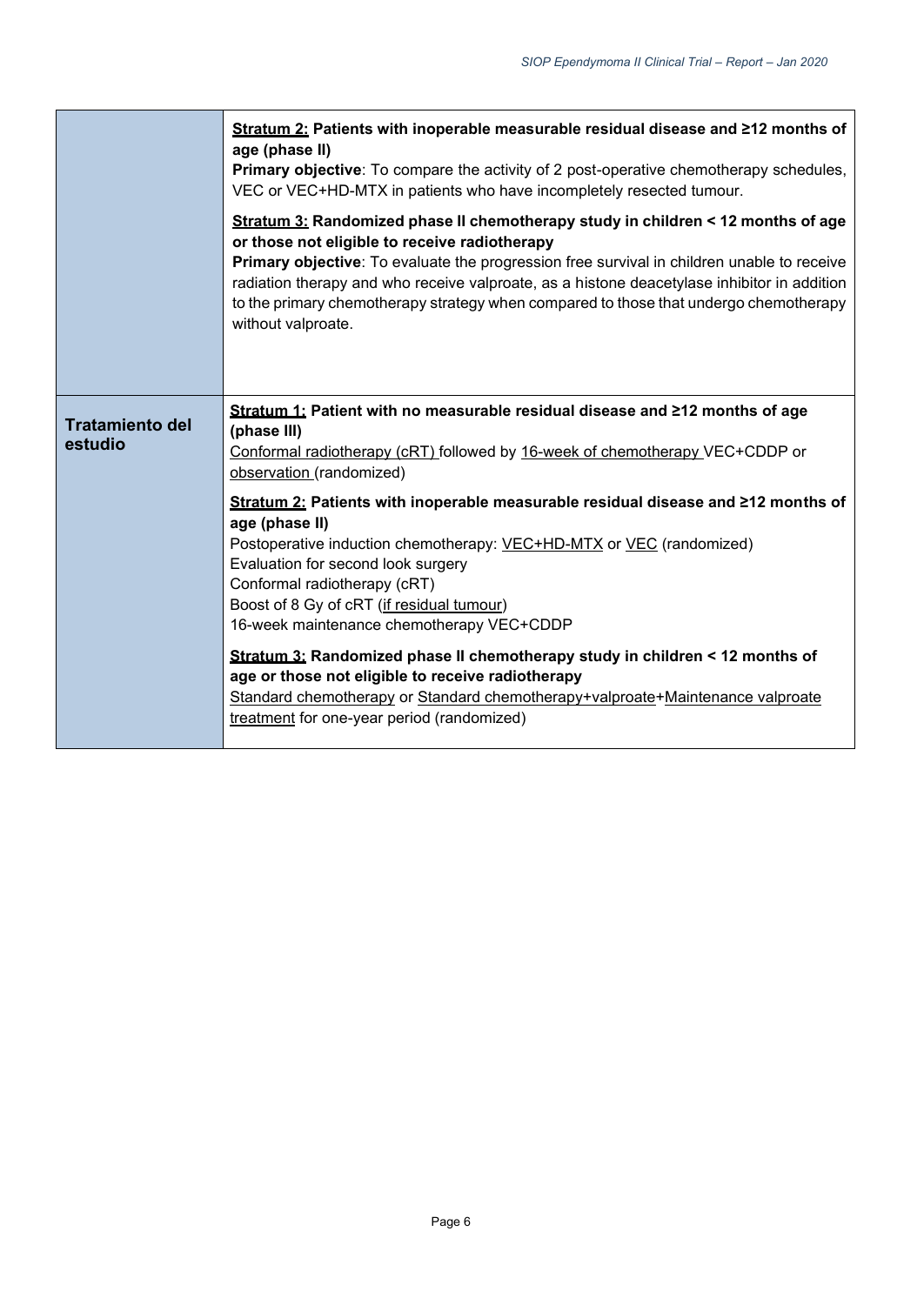|                                   | Stratum 2: Patients with inoperable measurable residual disease and ≥12 months of<br>age (phase II)<br>Primary objective: To compare the activity of 2 post-operative chemotherapy schedules,<br>VEC or VEC+HD-MTX in patients who have incompletely resected tumour.<br>Stratum 3: Randomized phase II chemotherapy study in children < 12 months of age<br>or those not eligible to receive radiotherapy<br>Primary objective: To evaluate the progression free survival in children unable to receive<br>radiation therapy and who receive valproate, as a histone deacetylase inhibitor in addition<br>to the primary chemotherapy strategy when compared to those that undergo chemotherapy<br>without valproate.                                                                                                      |
|-----------------------------------|-----------------------------------------------------------------------------------------------------------------------------------------------------------------------------------------------------------------------------------------------------------------------------------------------------------------------------------------------------------------------------------------------------------------------------------------------------------------------------------------------------------------------------------------------------------------------------------------------------------------------------------------------------------------------------------------------------------------------------------------------------------------------------------------------------------------------------|
| <b>Tratamiento del</b><br>estudio | Stratum 1: Patient with no measurable residual disease and ≥12 months of age<br>(phase III)<br>Conformal radiotherapy (cRT) followed by 16-week of chemotherapy VEC+CDDP or<br>observation (randomized)<br>Stratum 2: Patients with inoperable measurable residual disease and ≥12 months of<br>age (phase II)<br>Postoperative induction chemotherapy: VEC+HD-MTX or VEC (randomized)<br>Evaluation for second look surgery<br>Conformal radiotherapy (cRT)<br>Boost of 8 Gy of cRT (if residual tumour)<br>16-week maintenance chemotherapy VEC+CDDP<br>Stratum 3: Randomized phase II chemotherapy study in children < 12 months of<br>age or those not eligible to receive radiotherapy<br>Standard chemotherapy or Standard chemotherapy+valproate+Maintenance valproate<br>treatment for one-year period (randomized) |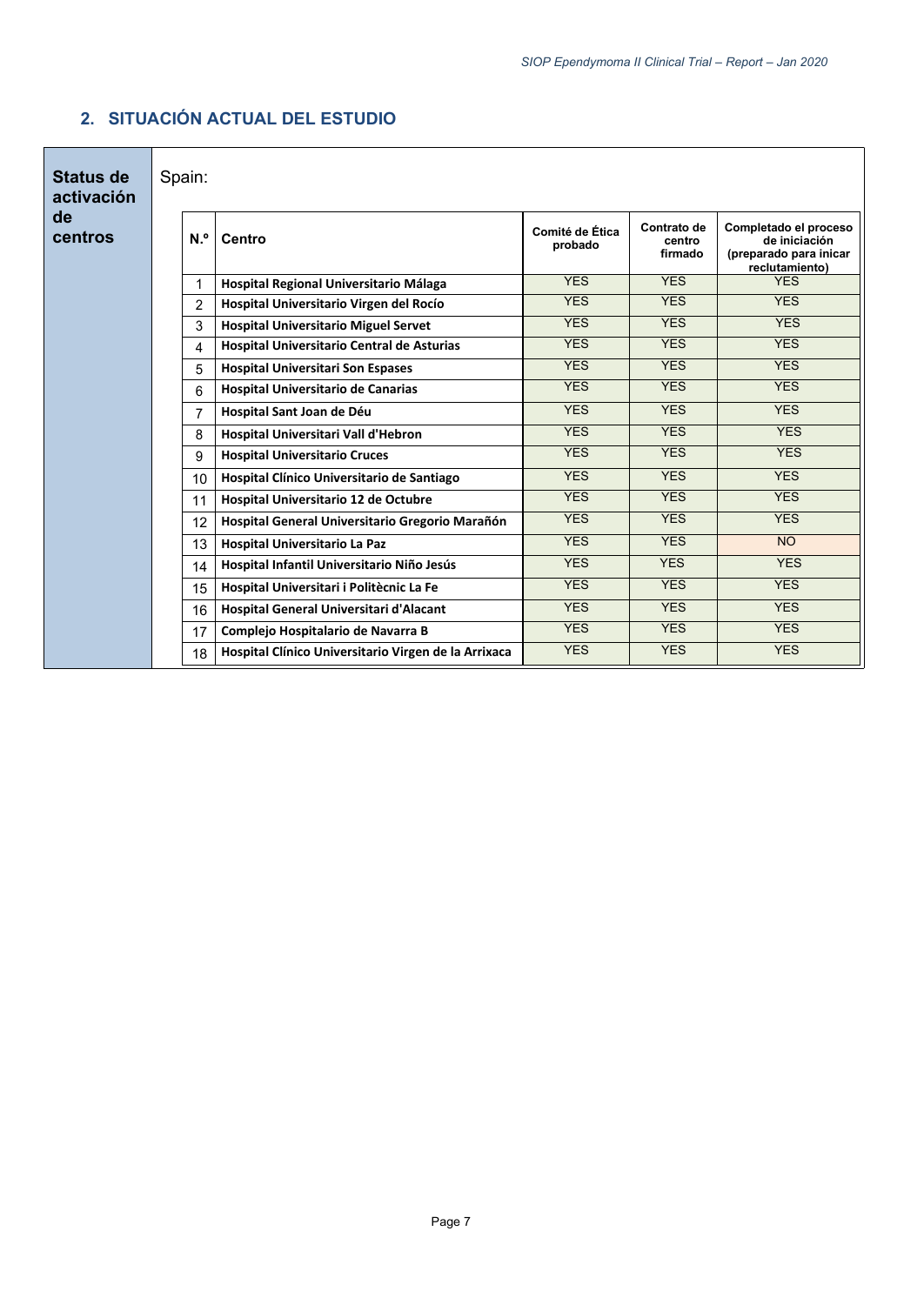| <b>Status de</b><br>activación                 |  | Spain:          |                                                      |                            |                                  |                                                                                    |  |  |  |
|------------------------------------------------|--|-----------------|------------------------------------------------------|----------------------------|----------------------------------|------------------------------------------------------------------------------------|--|--|--|
| de<br>centros                                  |  | N. <sup>o</sup> | Centro                                               | Comité de Ética<br>probado | Contrato de<br>centro<br>firmado | Completado el proceso<br>de iniciación<br>(preparado para inicar<br>reclutamiento) |  |  |  |
|                                                |  | 1               | Hospital Regional Universitario Málaga               | <b>YES</b>                 | <b>YES</b>                       | <b>YFS</b>                                                                         |  |  |  |
|                                                |  | $\overline{2}$  | Hospital Universitario Virgen del Rocío              | <b>YES</b>                 | <b>YES</b>                       | <b>YES</b>                                                                         |  |  |  |
|                                                |  | 3               | <b>Hospital Universitario Miguel Servet</b>          | <b>YES</b>                 | <b>YFS</b>                       | <b>YES</b>                                                                         |  |  |  |
|                                                |  | 4               | <b>Hospital Universitario Central de Asturias</b>    | <b>YES</b>                 | <b>YES</b>                       | <b>YES</b>                                                                         |  |  |  |
|                                                |  | 5               | <b>Hospital Universitari Son Espases</b>             | <b>YES</b>                 | <b>YES</b>                       | <b>YES</b>                                                                         |  |  |  |
| <b>Hospital Universitario de Canarias</b><br>6 |  |                 | <b>YES</b>                                           | <b>YES</b>                 | <b>YES</b>                       |                                                                                    |  |  |  |
|                                                |  | 7               | Hospital Sant Joan de Déu                            | <b>YES</b>                 | <b>YES</b>                       | <b>YES</b>                                                                         |  |  |  |
|                                                |  | 8               | Hospital Universitari Vall d'Hebron                  | <b>YES</b>                 | <b>YES</b>                       | <b>YES</b>                                                                         |  |  |  |
|                                                |  | 9               | <b>Hospital Universitario Cruces</b>                 | <b>YES</b>                 | <b>YES</b>                       | <b>YES</b>                                                                         |  |  |  |
|                                                |  | 10              | Hospital Clínico Universitario de Santiago           | <b>YES</b>                 | <b>YES</b>                       | <b>YES</b>                                                                         |  |  |  |
|                                                |  | 11              | Hospital Universitario 12 de Octubre                 | <b>YES</b>                 | <b>YES</b>                       | <b>YES</b>                                                                         |  |  |  |
|                                                |  | 12              | Hospital General Universitario Gregorio Marañón      | <b>YES</b>                 | <b>YES</b>                       | <b>YES</b>                                                                         |  |  |  |
|                                                |  | 13              | Hospital Universitario La Paz                        | <b>YES</b>                 | <b>YES</b>                       | <b>NO</b>                                                                          |  |  |  |
|                                                |  | 14              | Hospital Infantil Universitario Niño Jesús           | <b>YES</b>                 | <b>YES</b>                       | <b>YES</b>                                                                         |  |  |  |
|                                                |  | 15              | Hospital Universitari i Politècnic La Fe             | <b>YES</b>                 | <b>YES</b>                       | <b>YES</b>                                                                         |  |  |  |
|                                                |  | 16              | Hospital General Universitari d'Alacant              | <b>YES</b>                 | <b>YES</b>                       | <b>YES</b>                                                                         |  |  |  |
|                                                |  | 17              | Complejo Hospitalario de Navarra B                   | <b>YES</b>                 | <b>YES</b>                       | <b>YES</b>                                                                         |  |  |  |
|                                                |  | 18              | Hospital Clínico Universitario Virgen de la Arrixaca | <b>YES</b>                 | <b>YES</b>                       | <b>YES</b>                                                                         |  |  |  |

## **2. SITUACIÓN ACTUAL DEL ESTUDIO**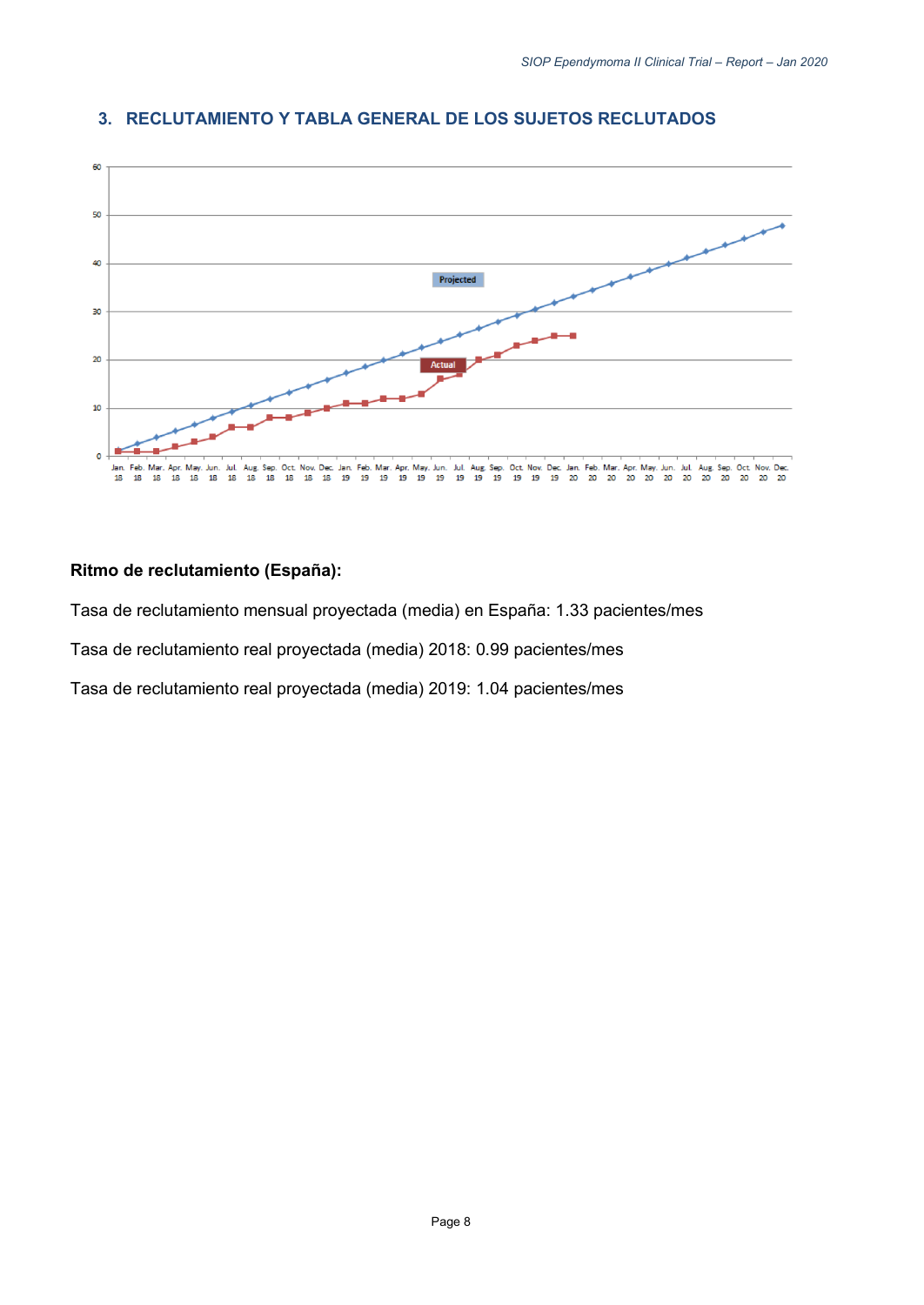

#### **3. RECLUTAMIENTO Y TABLA GENERAL DE LOS SUJETOS RECLUTADOS**

#### **Ritmo de reclutamiento (España):**

Tasa de reclutamiento mensual proyectada (media) en España: 1.33 pacientes/mes

Tasa de reclutamiento real proyectada (media) 2018: 0.99 pacientes/mes

Tasa de reclutamiento real proyectada (media) 2019: 1.04 pacientes/mes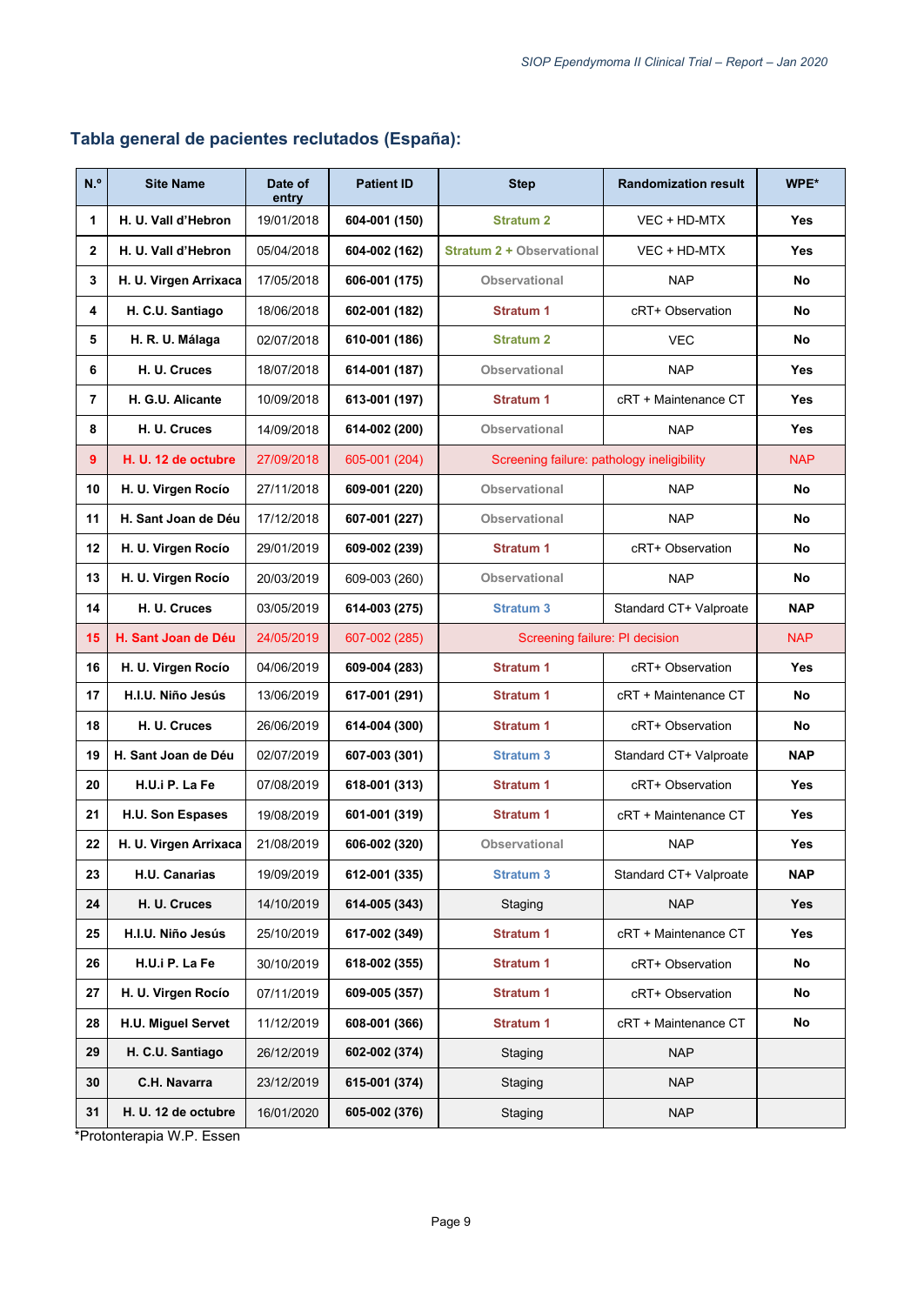| N. <sup>o</sup> | <b>Site Name</b>      | Date of<br>entry | <b>Patient ID</b> | <b>Step</b>                                | <b>Randomization result</b> | WPE*       |  |
|-----------------|-----------------------|------------------|-------------------|--------------------------------------------|-----------------------------|------------|--|
| 1               | H. U. Vall d'Hebron   | 19/01/2018       | 604-001 (150)     | <b>Stratum 2</b><br>VEC + HD-MTX           |                             | Yes        |  |
| $\overline{2}$  | H. U. Vall d'Hebron   | 05/04/2018       | 604-002 (162)     | <b>Stratum 2 + Observational</b>           | VEC + HD-MTX                | Yes        |  |
| 3               | H. U. Virgen Arrixaca | 17/05/2018       | 606-001 (175)     | <b>Observational</b>                       | <b>NAP</b>                  | No         |  |
| 4               | H. C.U. Santiago      | 18/06/2018       | 602-001 (182)     | <b>Stratum 1</b>                           | cRT+ Observation            | No         |  |
| 5               | H. R. U. Málaga       | 02/07/2018       | 610-001 (186)     | <b>Stratum 2</b>                           | <b>VEC</b>                  | No         |  |
| 6               | H. U. Cruces          | 18/07/2018       | 614-001 (187)     | <b>Observational</b>                       | <b>NAP</b>                  | <b>Yes</b> |  |
| $\overline{7}$  | H. G.U. Alicante      | 10/09/2018       | 613-001 (197)     | <b>Stratum 1</b>                           | cRT + Maintenance CT        | Yes        |  |
| 8               | H. U. Cruces          | 14/09/2018       | 614-002 (200)     | <b>Observational</b>                       | <b>NAP</b>                  | Yes        |  |
| 9               | H. U. 12 de octubre   | 27/09/2018       | 605-001 (204)     | Screening failure: pathology ineligibility |                             | <b>NAP</b> |  |
| 10              | H. U. Virgen Rocío    | 27/11/2018       | 609-001 (220)     | <b>Observational</b>                       | <b>NAP</b>                  | No         |  |
| 11              | H. Sant Joan de Déu   | 17/12/2018       | 607-001 (227)     | <b>Observational</b>                       | <b>NAP</b>                  | No         |  |
| 12              | H. U. Virgen Rocío    | 29/01/2019       | 609-002 (239)     | <b>Stratum 1</b>                           | cRT+ Observation            | No         |  |
| 13              | H. U. Virgen Rocío    | 20/03/2019       | 609-003 (260)     | <b>Observational</b>                       | <b>NAP</b>                  | No         |  |
| 14              | H. U. Cruces          | 03/05/2019       | 614-003 (275)     | <b>Stratum 3</b>                           | Standard CT+ Valproate      | <b>NAP</b> |  |
| 15              | H. Sant Joan de Déu   | 24/05/2019       | 607-002 (285)     | Screening failure: PI decision             |                             | <b>NAP</b> |  |
| 16              | H. U. Virgen Rocío    | 04/06/2019       | 609-004 (283)     | <b>Stratum 1</b><br>cRT+ Observation       |                             | <b>Yes</b> |  |
| 17              | H.I.U. Niño Jesús     | 13/06/2019       | 617-001 (291)     | <b>Stratum 1</b>                           | cRT + Maintenance CT        | No         |  |
| 18              | H. U. Cruces          | 26/06/2019       | 614-004 (300)     | <b>Stratum 1</b>                           | cRT+ Observation            | No         |  |
| 19              | H. Sant Joan de Déu   | 02/07/2019       | 607-003 (301)     | <b>Stratum 3</b>                           | Standard CT+ Valproate      | <b>NAP</b> |  |
| 20              | H.U.i P. La Fe        | 07/08/2019       | 618-001 (313)     | <b>Stratum 1</b>                           | cRT+ Observation            | Yes        |  |
| 21              | H.U. Son Espases      | 19/08/2019       | 601-001 (319)     | <b>Stratum 1</b>                           | cRT + Maintenance CT        | <b>Yes</b> |  |
| 22              | H. U. Virgen Arrixaca | 21/08/2019       | 606-002 (320)     | Observational                              | <b>NAP</b>                  | Yes        |  |
| 23              | H.U. Canarias         | 19/09/2019       | 612-001 (335)     | <b>Stratum 3</b>                           | Standard CT+ Valproate      | <b>NAP</b> |  |
| 24              | H. U. Cruces          | 14/10/2019       | 614-005 (343)     | Staging                                    | <b>NAP</b>                  | <b>Yes</b> |  |
| 25              | H.I.U. Niño Jesús     | 25/10/2019       | 617-002 (349)     | <b>Stratum 1</b>                           | cRT + Maintenance CT        | Yes        |  |
| 26              | H.U.i P. La Fe        | 30/10/2019       | 618-002 (355)     | <b>Stratum 1</b>                           | cRT+ Observation            | No         |  |
| 27              | H. U. Virgen Rocío    | 07/11/2019       | 609-005 (357)     | <b>Stratum 1</b>                           | cRT+ Observation            | No         |  |
| 28              | H.U. Miguel Servet    | 11/12/2019       | 608-001 (366)     | <b>Stratum 1</b>                           | cRT + Maintenance CT        | No         |  |
| 29              | H. C.U. Santiago      | 26/12/2019       | 602-002 (374)     | Staging                                    | <b>NAP</b>                  |            |  |
| 30              | C.H. Navarra          | 23/12/2019       | 615-001 (374)     | Staging                                    | <b>NAP</b>                  |            |  |
| 31              | H. U. 12 de octubre   | 16/01/2020       | 605-002 (376)     | Staging                                    | <b>NAP</b>                  |            |  |

## **Tabla general de pacientes reclutados (España):**

\*Protonterapia W.P. Essen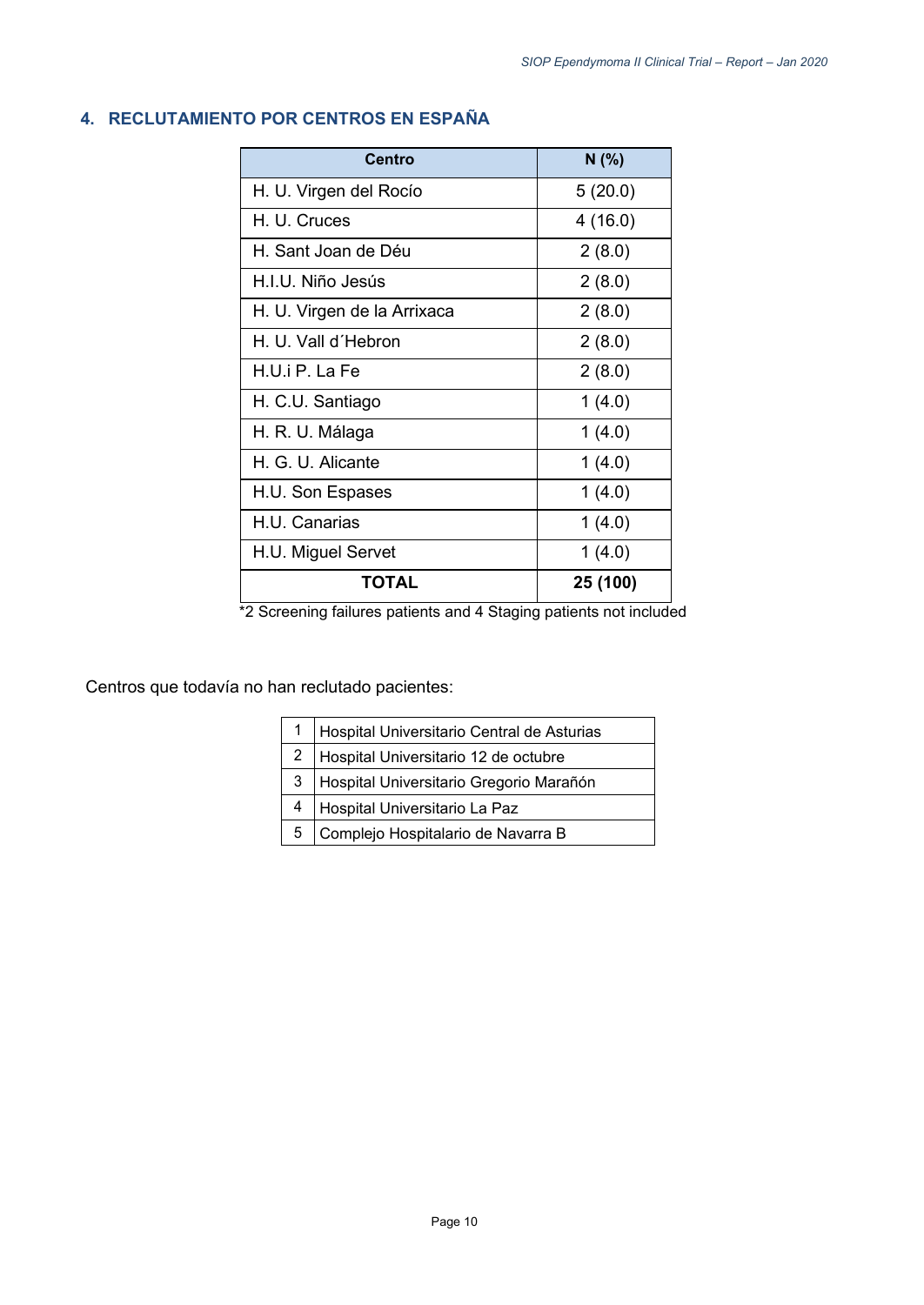| Centro                      | N(% )    |  |  |
|-----------------------------|----------|--|--|
| H. U. Virgen del Rocío      | 5(20.0)  |  |  |
| H. U. Cruces                | 4(16.0)  |  |  |
| H. Sant Joan de Déu         | 2(8.0)   |  |  |
| H.I.U. Niño Jesús           | 2(8.0)   |  |  |
| H. U. Virgen de la Arrixaca | 2(8.0)   |  |  |
| H. U. Vall d'Hebron         | 2(8.0)   |  |  |
| H.U.i P. La Fe              | 2(8.0)   |  |  |
| H. C.U. Santiago            | 1(4.0)   |  |  |
| H. R. U. Málaga             | 1(4.0)   |  |  |
| H. G. U. Alicante           | 1(4.0)   |  |  |
| H.U. Son Espases            | 1(4.0)   |  |  |
| <b>H.U. Canarias</b>        | 1(4.0)   |  |  |
| H.U. Miguel Servet          | 1(4.0)   |  |  |
| ΤΟΤΑL                       | 25 (100) |  |  |

## <span id="page-9-0"></span>**4. RECLUTAMIENTO POR CENTROS EN ESPAÑA**

\*2 Screening failures patients and 4 Staging patients not included

Centros que todavía no han reclutado pacientes:

| $\mathbf 1$ | Hospital Universitario Central de Asturias |
|-------------|--------------------------------------------|
| 2           | Hospital Universitario 12 de octubre       |
| 3           | Hospital Universitario Gregorio Marañón    |
| 4           | Hospital Universitario La Paz              |
| 5           | Complejo Hospitalario de Navarra B         |